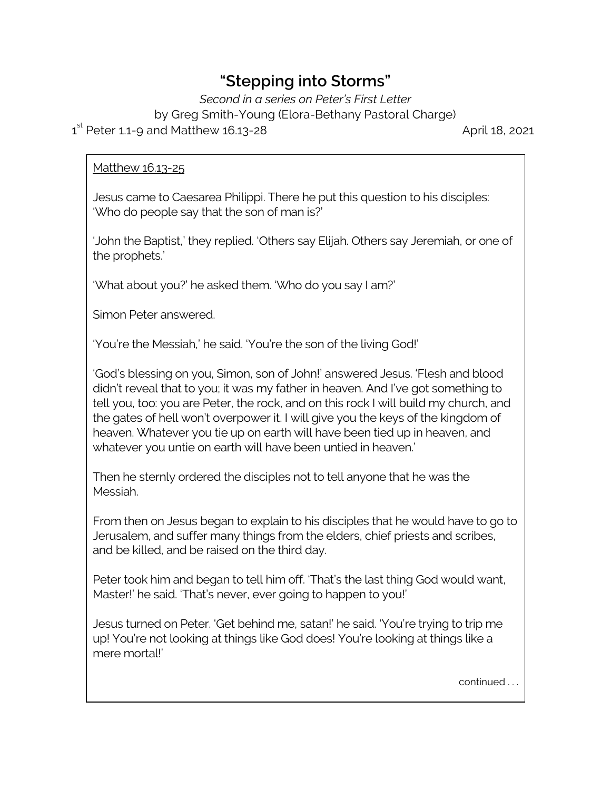## **"Stepping into Storms"**

*Second in a series on Peter's First Letter*

by Greg Smith-Young (Elora-Bethany Pastoral Charge)

1 st Peter 1.1-9 and Matthew 16.13-28 April 18, 2021

## Matthew 16.13-25

Jesus came to Caesarea Philippi. There he put this question to his disciples: 'Who do people say that the son of man is?'

'John the Baptist,' they replied. 'Others say Elijah. Others say Jeremiah, or one of the prophets.'

'What about you?' he asked them. 'Who do you say I am?'

Simon Peter answered.

'You're the Messiah,' he said. 'You're the son of the living God!'

'God's blessing on you, Simon, son of John!' answered Jesus. 'Flesh and blood didn't reveal that to you; it was my father in heaven. And I've got something to tell you, too: you are Peter, the rock, and on this rock I will build my church, and the gates of hell won't overpower it. I will give you the keys of the kingdom of heaven. Whatever you tie up on earth will have been tied up in heaven, and whatever you untie on earth will have been untied in heaven.'

Then he sternly ordered the disciples not to tell anyone that he was the Messiah.

From then on Jesus began to explain to his disciples that he would have to go to Jerusalem, and suffer many things from the elders, chief priests and scribes, and be killed, and be raised on the third day.

Peter took him and began to tell him off. 'That's the last thing God would want, Master!' he said. 'That's never, ever going to happen to you!'

Jesus turned on Peter. 'Get behind me, satan!' he said. 'You're trying to trip me up! You're not looking at things like God does! You're looking at things like a mere mortal!'

continued . . .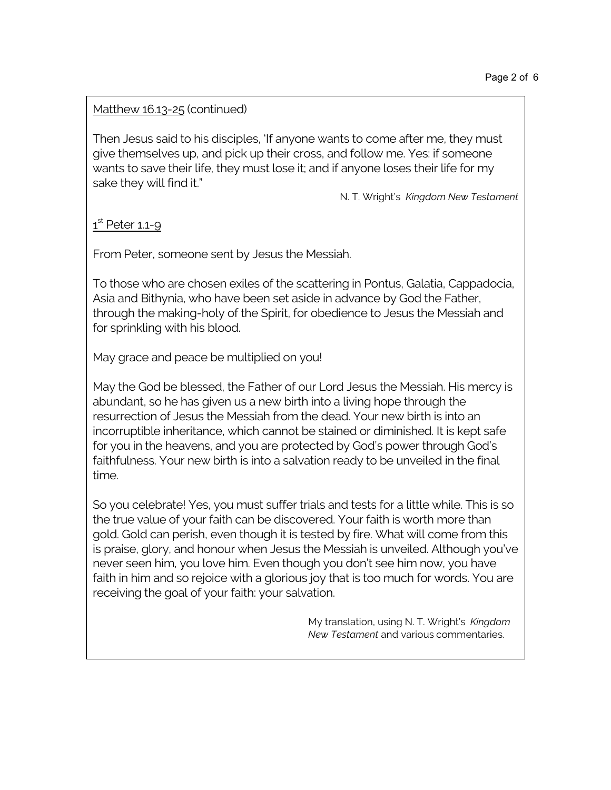## Matthew 16.13-25 (continued)

Then Jesus said to his disciples, 'If anyone wants to come after me, they must give themselves up, and pick up their cross, and follow me. Yes: if someone wants to save their life, they must lose it; and if anyone loses their life for my sake they will find it."

N. T. Wright's *Kingdom New Testament*

 $1^{\text{st}}$  Peter 1.1-9

From Peter, someone sent by Jesus the Messiah.

To those who are chosen exiles of the scattering in Pontus, Galatia, Cappadocia, Asia and Bithynia, who have been set aside in advance by God the Father, through the making-holy of the Spirit, for obedience to Jesus the Messiah and for sprinkling with his blood.

May grace and peace be multiplied on you!

May the God be blessed, the Father of our Lord Jesus the Messiah. His mercy is abundant, so he has given us a new birth into a living hope through the resurrection of Jesus the Messiah from the dead. Your new birth is into an incorruptible inheritance, which cannot be stained or diminished. It is kept safe for you in the heavens, and you are protected by God's power through God's faithfulness. Your new birth is into a salvation ready to be unveiled in the final time.

So you celebrate! Yes, you must suffer trials and tests for a little while. This is so the true value of your faith can be discovered. Your faith is worth more than gold. Gold can perish, even though it is tested by fire. What will come from this is praise, glory, and honour when Jesus the Messiah is unveiled. Although you've never seen him, you love him. Even though you don't see him now, you have faith in him and so rejoice with a glorious joy that is too much for words. You are receiving the goal of your faith: your salvation.

> My translation, using N. T. Wright's *Kingdom New Testament* and various commentaries.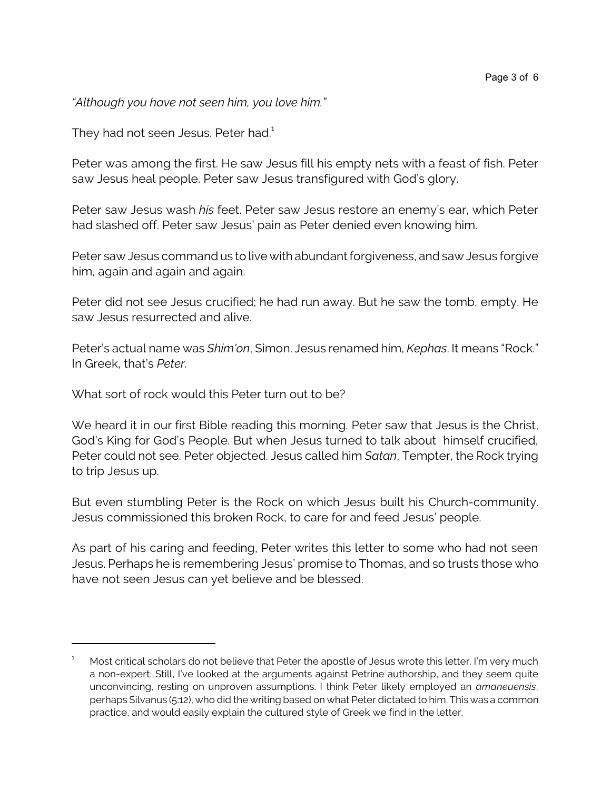*"Although you have not seen him, you love him."*

They had not seen Jesus. Peter had.<sup>1</sup>

Peter was among the first. He saw Jesus fill his empty nets with a feast of fish. Peter saw Jesus heal people. Peter saw Jesus transfigured with God's glory.

Peter saw Jesus wash *his* feet. Peter saw Jesus restore an enemy's ear, which Peter had slashed off. Peter saw Jesus' pain as Peter denied even knowing him.

Peter saw Jesus command us to live with abundant forgiveness, and saw Jesus forgive him, again and again and again.

Peter did not see Jesus crucified; he had run away. But he saw the tomb, empty. He saw Jesus resurrected and alive.

Peter's actual name was *Shim'on*, Simon. Jesus renamed him, *Kephas*. It means "Rock." In Greek, that's *Peter*.

What sort of rock would this Peter turn out to be?

We heard it in our first Bible reading this morning. Peter saw that Jesus is the Christ, God's King for God's People. But when Jesus turned to talk about himself crucified, Peter could not see. Peter objected. Jesus called him *Satan*, Tempter, the Rock trying to trip Jesus up.

But even stumbling Peter is the Rock on which Jesus built his Church-community. Jesus commissioned this broken Rock, to care for and feed Jesus' people.

As part of his caring and feeding, Peter writes this letter to some who had not seen Jesus. Perhaps he is remembering Jesus' promise to Thomas, and so trusts those who have not seen Jesus can yet believe and be blessed.

Most critical scholars do not believe that Peter the apostle of Jesus wrote this letter. I'm very much a non-expert. Still, I've looked at the arguments against Petrine authorship, and they seem quite unconvincing, resting on unproven assumptions. I think Peter likely employed an *amaneuensis*, perhaps Silvanus (5:12), who did the writing based on what Peter dictated to him. This was a common practice, and would easily explain the cultured style of Greek we find in the letter.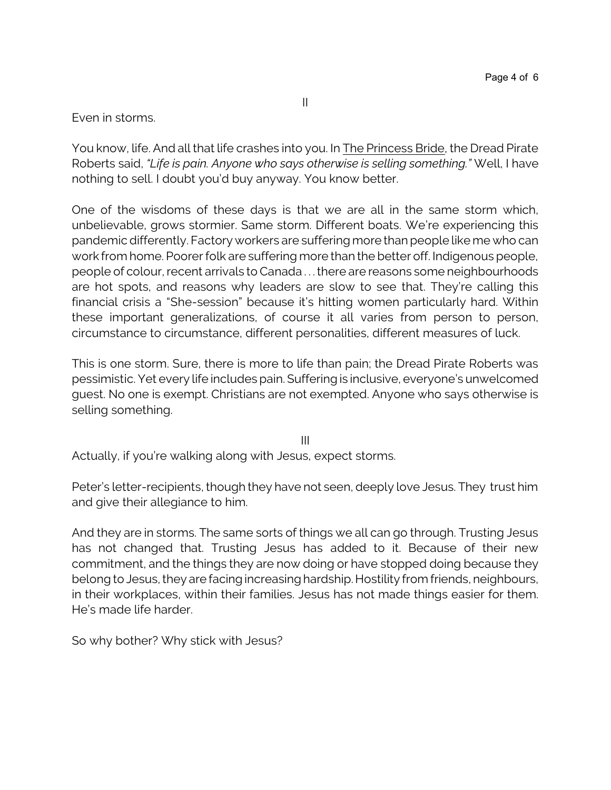Even in storms.

You know, life. And all that life crashes into you. In The Princess Bride, the Dread Pirate Roberts said, *"Life is pain. Anyone who says otherwise is selling something."* Well, I have nothing to sell. I doubt you'd buy anyway. You know better.

One of the wisdoms of these days is that we are all in the same storm which, unbelievable, grows stormier. Same storm. Different boats. We're experiencing this pandemic differently. Factory workers are suffering more thanpeople like me who can work from home. Poorer folk are suffering more than the better off. Indigenous people, people of colour, recent arrivals to Canada . . . there are reasons some neighbourhoods are hot spots, and reasons why leaders are slow to see that. They're calling this financial crisis a "She-session" because it's hitting women particularly hard. Within these important generalizations, of course it all varies from person to person, circumstance to circumstance, different personalities, different measures of luck.

This is one storm. Sure, there is more to life than pain; the Dread Pirate Roberts was pessimistic. Yet every life includes pain. Suffering is inclusive, everyone's unwelcomed guest. No one is exempt. Christians are not exempted. Anyone who says otherwise is selling something.

III

Actually, if you're walking along with Jesus, expect storms.

Peter's letter-recipients, though they have not seen, deeply love Jesus. They trust him and give their allegiance to him.

And they are in storms. The same sorts of things we all can go through. Trusting Jesus has not changed that. Trusting Jesus has added to it. Because of their new commitment, and the things they are now doing or have stopped doing because they belong to Jesus, they are facing increasing hardship. Hostility from friends, neighbours, in their workplaces, within their families. Jesus has not made things easier for them. He's made life harder.

So why bother? Why stick with Jesus?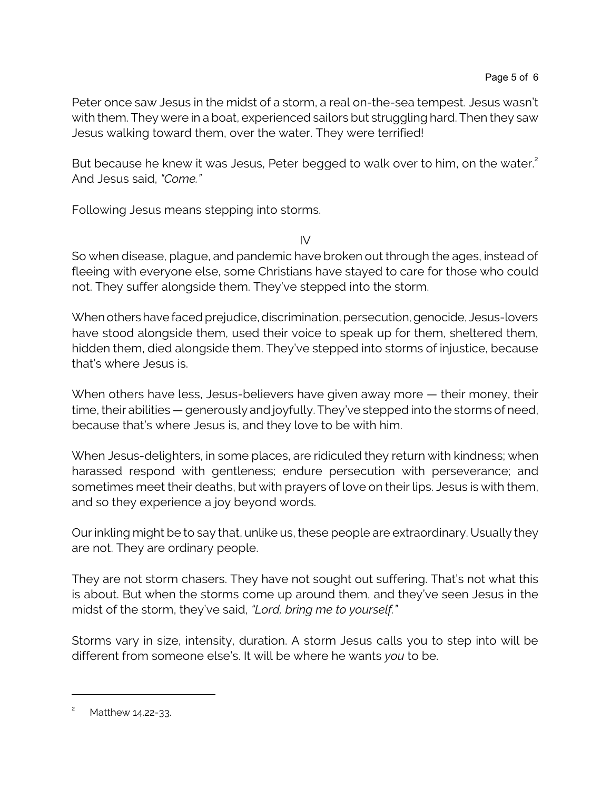Peter once saw Jesus in the midst of a storm, a real on-the-sea tempest. Jesus wasn't with them. They were in a boat, experienced sailors but struggling hard. Then they saw Jesus walking toward them, over the water. They were terrified!

But because he knew it was Jesus, Peter begged to walk over to him, on the water.<sup>2</sup> And Jesus said, *"Come."*

Following Jesus means stepping into storms.

IV

So when disease, plague, and pandemic have broken out through the ages, instead of fleeing with everyone else, some Christians have stayed to care for those who could not. They suffer alongside them. They've stepped into the storm.

When others have faced prejudice, discrimination, persecution, genocide, Jesus-lovers have stood alongside them, used their voice to speak up for them, sheltered them, hidden them, died alongside them. They've stepped into storms of injustice, because that's where Jesus is.

When others have less, Jesus-believers have given away more — their money, their time, their abilities — generously and joyfully. They've stepped into the storms of need, because that's where Jesus is, and they love to be with him.

When Jesus-delighters, in some places, are ridiculed they return with kindness; when harassed respond with gentleness; endure persecution with perseverance; and sometimes meet their deaths, but with prayers of love on their lips. Jesus is with them, and so they experience a joy beyond words.

Our inkling might be to say that, unlike us, these people are extraordinary. Usually they are not. They are ordinary people.

They are not storm chasers. They have not sought out suffering. That's not what this is about. But when the storms come up around them, and they've seen Jesus in the midst of the storm, they've said, *"Lord, bring me to yourself."*

Storms vary in size, intensity, duration. A storm Jesus calls you to step into will be different from someone else's. It will be where he wants *you* to be.

Matthew 14.22-33.